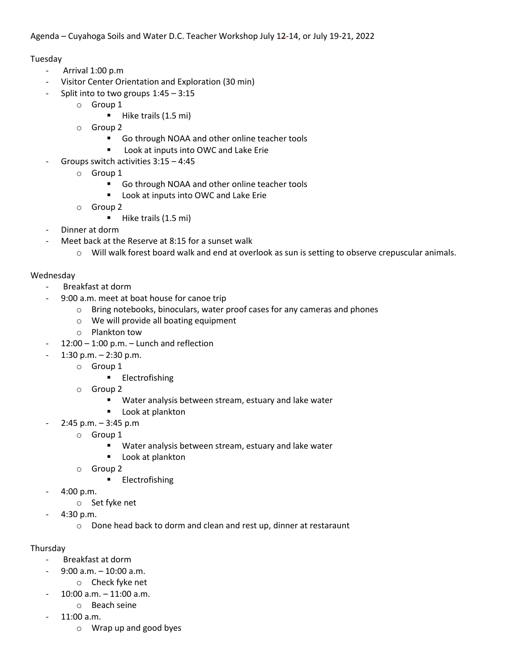## Tuesday

- Arrival 1:00 p.m
- Visitor Center Orientation and Exploration (30 min)
- Split into to two groups  $1:45 3:15$ 
	- o Group 1
		- Hike trails (1.5 mi)
	- o Group 2
		- Go through NOAA and other online teacher tools
		- Look at inputs into OWC and Lake Erie
- Groups switch activities 3:15 4:45
	- o Group 1
		- Go through NOAA and other online teacher tools
		- Look at inputs into OWC and Lake Erie
	- o Group 2
		- Hike trails (1.5 mi)
- Dinner at dorm
- Meet back at the Reserve at 8:15 for a sunset walk
	- $\circ$  Will walk forest board walk and end at overlook as sun is setting to observe crepuscular animals.

## Wednesday

- Breakfast at dorm
- 9:00 a.m. meet at boat house for canoe trip
	- o Bring notebooks, binoculars, water proof cases for any cameras and phones
	- o We will provide all boating equipment
	- o Plankton tow
- $12:00 1:00$  p.m.  $-$  Lunch and reflection
- $-1:30$  p.m.  $-2:30$  p.m.
	- o Group 1
		- Electrofishing
	- o Group 2
		- Water analysis between stream, estuary and lake water
		- Look at plankton
- $2:45$  p.m.  $3:45$  p.m
	- o Group 1
		- Water analysis between stream, estuary and lake water
		- Look at plankton
	- o Group 2
		- Electrofishing
- 4:00 p.m.
	- o Set fyke net
	- 4:30 p.m.
		- o Done head back to dorm and clean and rest up, dinner at restaraunt

## Thursday

- Breakfast at dorm
	- $9:00$  a.m.  $-10:00$  a.m.
	- o Check fyke net
- $10:00$  a.m.  $-11:00$  a.m.
	- o Beach seine
- 11:00 a.m.
	- o Wrap up and good byes